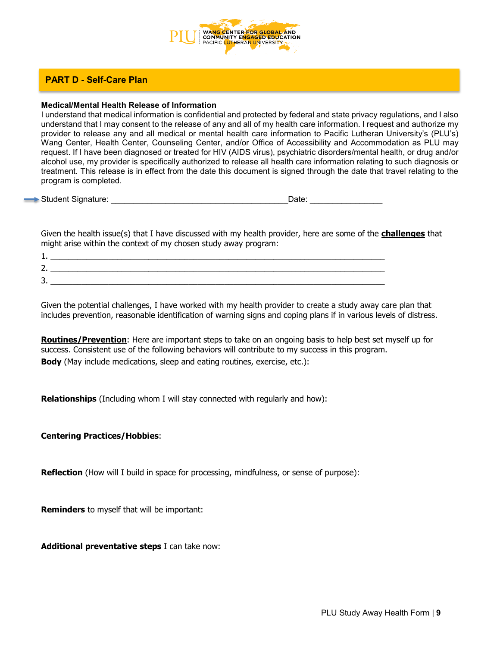

# **PART D - Self-Care Plan**

### **Medical/Mental Health Release of Information**

I understand that medical information is confidential and protected by federal and state privacy regulations, and I also understand that I may consent to the release of any and all of my health care information. I request and authorize my provider to release any and all medical or mental health care information to Pacific Lutheran University's (PLU's) Wang Center, Health Center, Counseling Center, and/or Office of Accessibility and Accommodation as PLU may request. If I have been diagnosed or treated for HIV (AIDS virus), psychiatric disorders/mental health, or drug and/or alcohol use, my provider is specifically authorized to release all health care information relating to such diagnosis or treatment. This release is in effect from the date this document is signed through the date that travel relating to the program is completed.

Student Signature: \_\_\_\_\_\_\_\_\_\_\_\_\_\_\_\_\_\_\_\_\_\_\_\_\_\_\_\_\_\_\_\_\_\_\_\_\_\_\_Date: \_\_\_\_\_\_\_\_\_\_\_\_\_\_\_\_

Given the health issue(s) that I have discussed with my health provider, here are some of the **challenges** that might arise within the context of my chosen study away program:

| .             |  |
|---------------|--|
| ∽<br><u>_</u> |  |
| ∽<br>◡        |  |

Given the potential challenges, I have worked with my health provider to create a study away care plan that includes prevention, reasonable identification of warning signs and coping plans if in various levels of distress.

**Routines/Prevention**: Here are important steps to take on an ongoing basis to help best set myself up for success. Consistent use of the following behaviors will contribute to my success in this program. **Body** (May include medications, sleep and eating routines, exercise, etc.):

**Relationships** (Including whom I will stay connected with regularly and how):

## **Centering Practices/Hobbies**:

**Reflection** (How will I build in space for processing, mindfulness, or sense of purpose):

**Reminders** to myself that will be important:

**Additional preventative steps** I can take now: